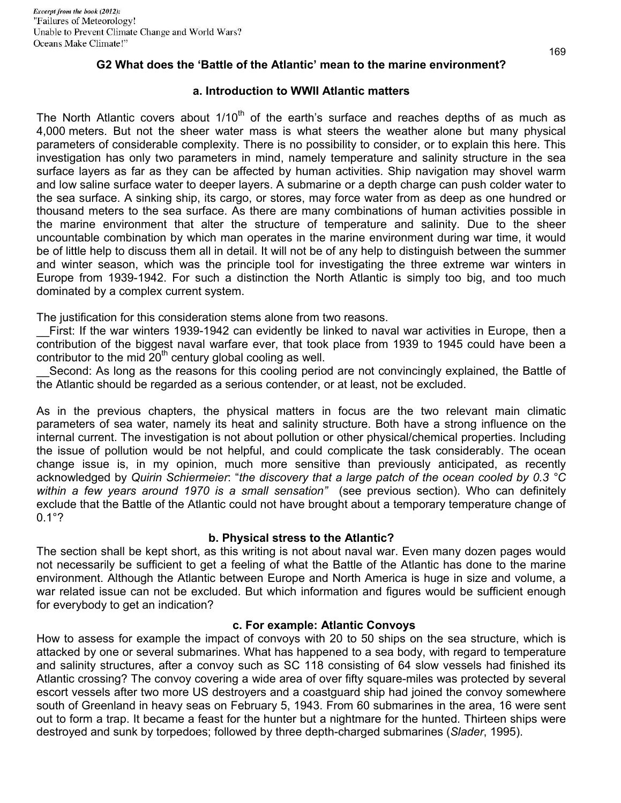### **G2 What does the 'Battle of the Atlantic' mean to the marine environment?**

### **a. Introduction to WWII Atlantic matters**

The North Atlantic covers about  $1/10<sup>th</sup>$  of the earth's surface and reaches depths of as much as 4,000 meters. But not the sheer water mass is what steers the weather alone but many physical parameters of considerable complexity. There is no possibility to consider, or to explain this here. This investigation has only two parameters in mind, namely temperature and salinity structure in the sea surface layers as far as they can be affected by human activities. Ship navigation may shovel warm and low saline surface water to deeper layers. A submarine or a depth charge can push colder water to the sea surface. A sinking ship, its cargo, or stores, may force water from as deep as one hundred or thousand meters to the sea surface. As there are many combinations of human activities possible in the marine environment that alter the structure of temperature and salinity. Due to the sheer uncountable combination by which man operates in the marine environment during war time, it would be of little help to discuss them all in detail. It will not be of any help to distinguish between the summer and winter season, which was the principle tool for investigating the three extreme war winters in Europe from 1939-1942. For such a distinction the North Atlantic is simply too big, and too much dominated by a complex current system.

The justification for this consideration stems alone from two reasons.

First: If the war winters 1939-1942 can evidently be linked to naval war activities in Europe, then a contribution of the biggest naval warfare ever, that took place from 1939 to 1945 could have been a contributor to the mid  $20<sup>th</sup>$  century global cooling as well.

Second: As long as the reasons for this cooling period are not convincingly explained, the Battle of the Atlantic should be regarded as a serious contender, or at least, not be excluded.

As in the previous chapters, the physical matters in focus are the two relevant main climatic parameters of sea water, namely its heat and salinity structure. Both have a strong influence on the internal current. The investigation is not about pollution or other physical/chemical properties. Including the issue of pollution would be not helpful, and could complicate the task considerably. The ocean change issue is, in my opinion, much more sensitive than previously anticipated, as recently acknowledged by *Quirin Schiermeier*: "*the discovery that a large patch of the ocean cooled by 0.3 °C within a few years around 1970 is a small sensation"* (see previous section). Who can definitely exclude that the Battle of the Atlantic could not have brought about a temporary temperature change of 0.1°?

### **b. Physical stress to the Atlantic?**

The section shall be kept short, as this writing is not about naval war. Even many dozen pages would not necessarily be sufficient to get a feeling of what the Battle of the Atlantic has done to the marine environment. Although the Atlantic between Europe and North America is huge in size and volume, a war related issue can not be excluded. But which information and figures would be sufficient enough for everybody to get an indication?

# **c. For example: Atlantic Convoys**

How to assess for example the impact of convoys with 20 to 50 ships on the sea structure, which is attacked by one or several submarines. What has happened to a sea body, with regard to temperature and salinity structures, after a convoy such as SC 118 consisting of 64 slow vessels had finished its Atlantic crossing? The convoy covering a wide area of over fifty square-miles was protected by several escort vessels after two more US destroyers and a coastguard ship had joined the convoy somewhere south of Greenland in heavy seas on February 5, 1943. From 60 submarines in the area, 16 were sent out to form a trap. It became a feast for the hunter but a nightmare for the hunted. Thirteen ships were destroyed and sunk by torpedoes; followed by three depth-charged submarines (*Slader*, 1995).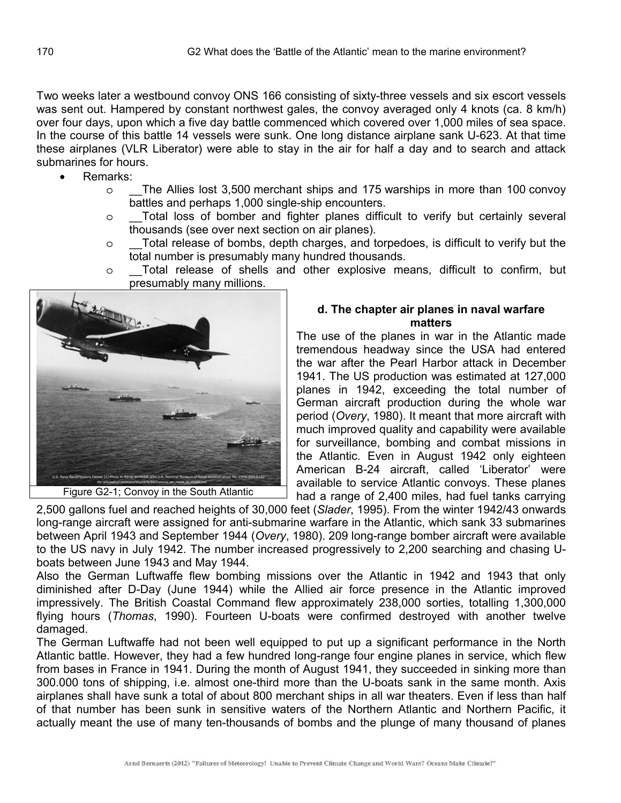Two weeks later a westbound convoy ONS 166 consisting of sixty-three vessels and six escort vessels was sent out. Hampered by constant northwest gales, the convoy averaged only 4 knots (ca. 8 km/h) over four days, upon which a five day battle commenced which covered over 1,000 miles of sea space. In the course of this battle 14 vessels were sunk. One long distance airplane sank U-623. At that time these airplanes (VLR Liberator) were able to stay in the air for half a day and to search and attack submarines for hours.

- Remarks:
	- $\circ$  The Allies lost 3,500 merchant ships and 175 warships in more than 100 convoy battles and perhaps 1,000 single-ship encounters.
	- $\circ$  Total loss of bomber and fighter planes difficult to verify but certainly several thousands (see over next section on air planes).
	- o \_\_Total release of bombs, depth charges, and torpedoes, is difficult to verify but the total number is presumably many hundred thousands.
	- $\circ$  Total release of shells and other explosive means, difficult to confirm, but presumably many millions.



Figure G2-1; Convoy in the South Atlantic

#### **d. The chapter air planes in naval warfare matters**

The use of the planes in war in the Atlantic made tremendous headway since the USA had entered the war after the Pearl Harbor attack in December 1941. The US production was estimated at 127,000 planes in 1942, exceeding the total number of German aircraft production during the whole war period (*Overy*, 1980). It meant that more aircraft with much improved quality and capability were available for surveillance, bombing and combat missions in the Atlantic. Even in August 1942 only eighteen American B-24 aircraft, called 'Liberator' were available to service Atlantic convoys. These planes had a range of 2,400 miles, had fuel tanks carrying

2,500 gallons fuel and reached heights of 30,000 feet (*Slader*, 1995). From the winter 1942/43 onwards long-range aircraft were assigned for anti-submarine warfare in the Atlantic, which sank 33 submarines between April 1943 and September 1944 (*Overy*, 1980). 209 long-range bomber aircraft were available to the US navy in July 1942. The number increased progressively to 2,200 searching and chasing Uboats between June 1943 and May 1944.

Also the German Luftwaffe flew bombing missions over the Atlantic in 1942 and 1943 that only diminished after D-Day (June 1944) while the Allied air force presence in the Atlantic improved impressively. The British Coastal Command flew approximately 238,000 sorties, totalling 1,300,000 flying hours (*Thomas*, 1990). Fourteen U-boats were confirmed destroyed with another twelve damaged.

The German Luftwaffe had not been well equipped to put up a significant performance in the North Atlantic battle. However, they had a few hundred long-range four engine planes in service, which flew from bases in France in 1941. During the month of August 1941, they succeeded in sinking more than 300.000 tons of shipping, i.e. almost one-third more than the U-boats sank in the same month. Axis airplanes shall have sunk a total of about 800 merchant ships in all war theaters. Even if less than half of that number has been sunk in sensitive waters of the Northern Atlantic and Northern Pacific, it actually meant the use of many ten-thousands of bombs and the plunge of many thousand of planes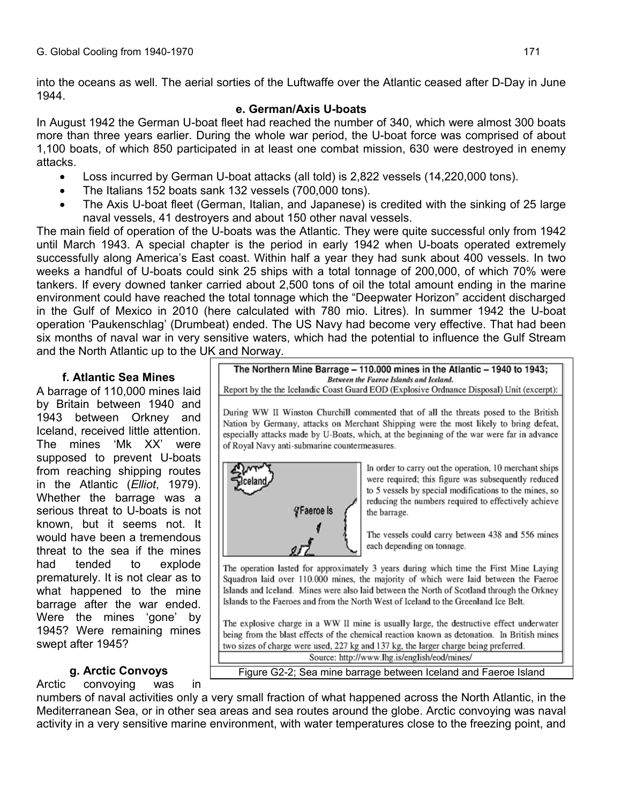into the oceans as well. The aerial sorties of the Luftwaffe over the Atlantic ceased after D-Day in June 1944.

### **e. German/Axis U-boats**

In August 1942 the German U-boat fleet had reached the number of 340, which were almost 300 boats more than three years earlier. During the whole war period, the U-boat force was comprised of about 1,100 boats, of which 850 participated in at least one combat mission, 630 were destroyed in enemy attacks.

- Loss incurred by German U-boat attacks (all told) is 2,822 vessels (14,220,000 tons).
- The Italians 152 boats sank 132 vessels (700,000 tons).
- The Axis U-boat fleet (German, Italian, and Japanese) is credited with the sinking of 25 large naval vessels, 41 destroyers and about 150 other naval vessels.

The main field of operation of the U-boats was the Atlantic. They were quite successful only from 1942 until March 1943. A special chapter is the period in early 1942 when U-boats operated extremely successfully along America's East coast. Within half a year they had sunk about 400 vessels. In two weeks a handful of U-boats could sink 25 ships with a total tonnage of 200,000, of which 70% were tankers. If every downed tanker carried about 2,500 tons of oil the total amount ending in the marine environment could have reached the total tonnage which the "Deepwater Horizon" accident discharged in the Gulf of Mexico in 2010 (here calculated with 780 mio. Litres). In summer 1942 the U-boat operation 'Paukenschlag' (Drumbeat) ended. The US Navy had become very effective. That had been six months of naval war in very sensitive waters, which had the potential to influence the Gulf Stream and the North Atlantic up to the UK and Norway.

# **f. Atlantic Sea Mines**

A barrage of 110,000 mines laid by Britain between 1940 and 1943 between Orkney and Iceland, received little attention. The mines 'Mk XX' were supposed to prevent U-boats from reaching shipping routes in the Atlantic (*Elliot*, 1979). Whether the barrage was a serious threat to U-boats is not known, but it seems not. It would have been a tremendous threat to the sea if the mines had tended to explode prematurely. It is not clear as to what happened to the mine barrage after the war ended. Were the mines 'gone' by 1945? Were remaining mines swept after 1945?

# **g. Arctic Convoys**

Arctic convoying was in

The Northern Mine Barrage - 110.000 mines in the Atlantic - 1940 to 1943; Between the Faeroe Islands and Iceland.

Report by the the Icelandic Coast Guard EOD (Explosive Ordnance Disposal) Unit (excerpt):

During WW II Winston Churchill commented that of all the threats posed to the British Nation by Germany, attacks on Merchant Shipping were the most likely to bring defeat, especially attacks made by U-Boats, which, at the beginning of the war were far in advance of Royal Navy anti-submarine countermeasures.



In order to carry out the operation, 10 merchant ships were required; this figure was subsequently reduced to 5 vessels by special modifications to the mines, so reducing the numbers required to effectively achieve the barrage.

The vessels could carry between 438 and 556 mines each depending on tonnage.

The operation lasted for approximately 3 years during which time the First Mine Laying Squadron laid over 110.000 mines, the majority of which were laid between the Faeroe Islands and Iceland. Mines were also laid between the North of Scotland through the Orkney Islands to the Faeroes and from the North West of Iceland to the Greenland Ice Belt.

The explosive charge in a WW II mine is usually large, the destructive effect underwater being from the blast effects of the chemical reaction known as detonation. In British mines two sizes of charge were used, 227 kg and 137 kg, the larger charge being preferred. Source: http://www.lhg.is/english/eod/mines/

Figure G2-2; Sea mine barrage between Iceland and Faeroe Island

numbers of naval activities only a very small fraction of what happened across the North Atlantic, in the Mediterranean Sea, or in other sea areas and sea routes around the globe. Arctic convoying was naval activity in a very sensitive marine environment, with water temperatures close to the freezing point, and